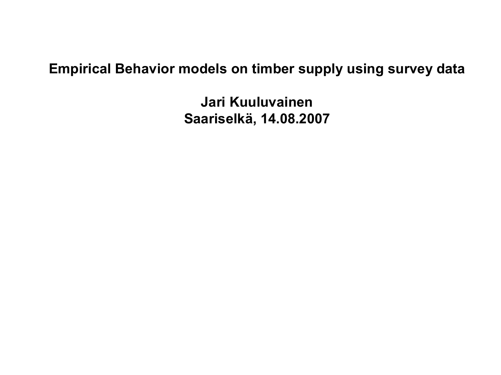#### **Empirical Behavior models on timber supply using survey data**

**Jari Kuuluvainen Saariselkä, 14.08.2007**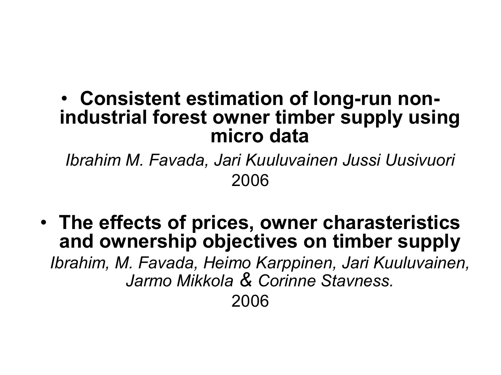### • Consistent estimation of long-run non**industrial forest owner timber supply using micro data**

*Ibrahim M. Favada, Jari Kuuluvainen Jussi Uusivuori* 2006

• **The effects of prices, owner charasteristics and ownership objectives on timber supply** *Ibrahim, M. Favada, Heimo Karppinen, Jari Kuuluvainen, Jarmo Mikkola & Corinne Stavness.* 2006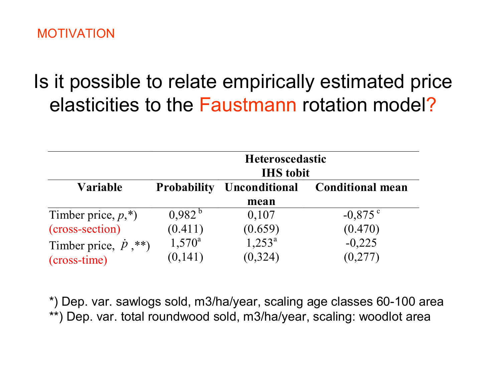## Is it possible to relate empirically estimated price elasticities to the Faustmann rotation model?

|                                  | <b>Heteroscedastic</b><br><b>IHS</b> tobit |                      |                         |  |  |  |
|----------------------------------|--------------------------------------------|----------------------|-------------------------|--|--|--|
| <b>Variable</b>                  | <b>Probability</b>                         | <b>Unconditional</b> | <b>Conditional mean</b> |  |  |  |
|                                  |                                            | mean                 |                         |  |  |  |
| Timber price, $p$ <sup>*</sup> ) | $0.982^{b}$                                | 0,107                | $-0.875$ c              |  |  |  |
| (cross-section)                  | (0.411)                                    | (0.659)              | (0.470)                 |  |  |  |
| Timber price, $\dot{p}$ ,**)     | $1,570^a$                                  | $1,253^{\circ}$      | $-0,225$                |  |  |  |
| (cross-time)                     | (0,141)                                    | (0, 324)             | (0,277)                 |  |  |  |

\*) Dep. var. sawlogs sold, m3/ha/year, scaling age classes 60-100 area \*\*) Dep. var. total roundwood sold, m3/ha/year, scaling: woodlot area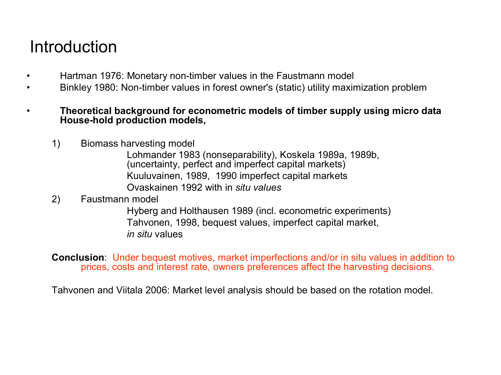### Introduction

- Hartman 1976: Monetary non-timber values in the Faustmann model
- Binkley 1980: Non-timber values in forest owner's (static) utility maximization problem
- **Theoretical background for econometric models of timber supply using micro data Household production models,**
	- 1) Biomass harvesting model

Lohmander 1983 (nonseparability), Koskela 1989a, 1989b, (uncertainty, perfect and imperfect capital markets) Kuuluvainen, 1989, 1990 imperfect capital markets Ovaskainen 1992 with in *situ values*

#### 2) Faustmann model

Hyberg and Holthausen 1989 (incl. econometric experiments) Tahvonen, 1998, bequest values, imperfect capital market, *in situ* values

**Conclusion**: Under bequest motives, market imperfections and/or in situ values in addition to prices, costs and interest rate, owners preferences affect the harvesting decisions.

Tahvonen and Viitala 2006: Market level analysis should be based on the rotation model.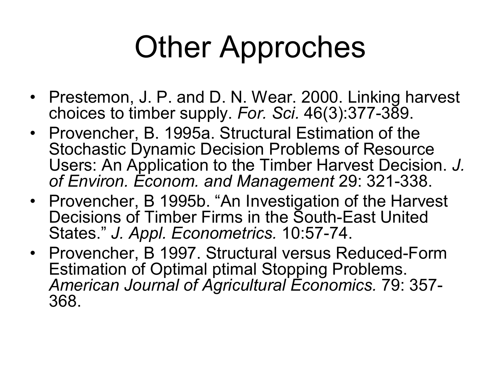# Other Approches

- Prestemon, J. P. and D. N. Wear. 2000. Linking harvest choices to timber supply. For. Sci. 46(3):377-389.
- Provencher, B. 1995a. Structural Estimation of the Stochastic Dynamic Decision Problems of Resource Users: An Application to the Timber Harvest Decision. *J.* of Environ. Econom. and Management 29: 321-338.
- Provencher, B 1995b. "An Investigation of the Harvest Decisions of Timber Firms in the South-East United States." J. Appl. Econometrics. 10:57-74.
- Provencher, B 1997. Structural versus Reduced-Form Estimation of Optimal ptimal Stopping Problems. *American Journal of Agricultural Economics.* 79: 357 368.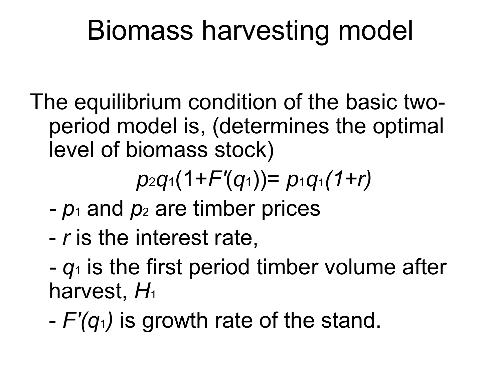## Biomass harvesting model

The equilibrium condition of the basic two period model is, (determines the optimal level of biomass stock)

*p*2*q*1(1+*F'*(*q*1))= *p*1*q*1*(1+r)*

- *p*1 and *p*2 are timber prices
- *r* is the interest rate,
- $-q_1$  is the first period timber volume after harvest, *H*<sup>1</sup>
- *F'(q*1*)* is growth rate of the stand.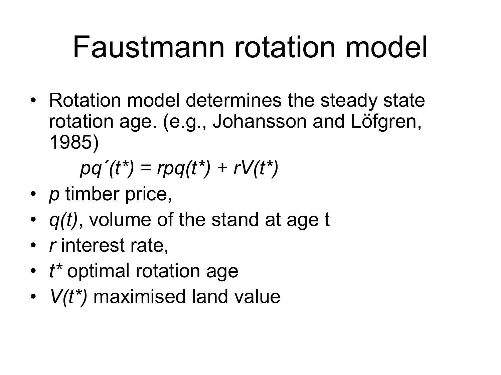# Faustmann rotation model

• Rotation model determines the steady state rotation age. (e.g., Johansson and Löfgren, 1985)

*pq´(t\*) = rpq(t\*) + rV(t\*)*

- *p* timber price,
- *q(t)*, volume of the stand at age t
- *r* interest rate,
- *t\** optimal rotation age
- *V(t\*)* maximised land value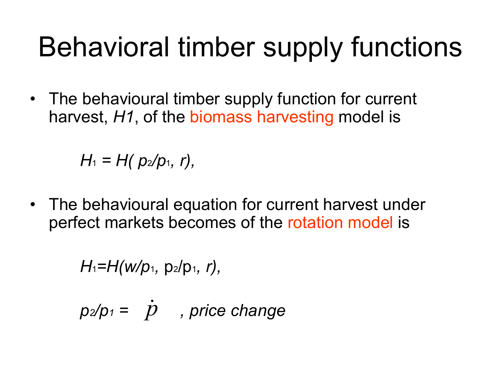## Behavioral timber supply functions

• The behavioural timber supply function for current harvest, *H1*, of the biomass harvesting model is

*H*<sub>1</sub> = *H*( $p_2/p_1$ , *r*),

• The behavioural equation for current harvest under perfect markets becomes of the rotation model is

*H*1*=H(w/p*1*,* p2/p1*, r),* 

 $p_2/p_1 = \dot{p}$ , price change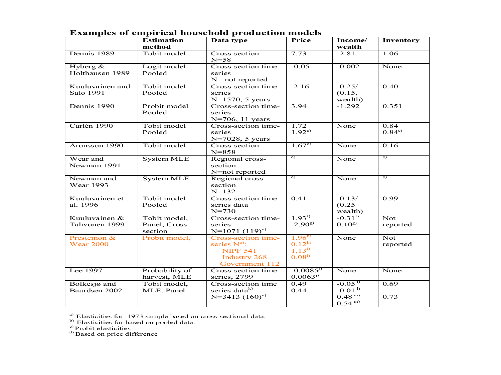|                                 | <b>Estimation</b><br>method              | Data type                                                                                           | Price                                                       | Income/<br>wealth             | Inventory                           |
|---------------------------------|------------------------------------------|-----------------------------------------------------------------------------------------------------|-------------------------------------------------------------|-------------------------------|-------------------------------------|
| Dennis 1989                     | Tobit model                              | Cross-section<br>$N = 58$                                                                           | 7.73                                                        | $-2.81$                       | 1.06                                |
| Hyberg $&$<br>Holthausen 1989   | Logit model<br>Pooled                    | Cross-section time-<br>series<br>$N=$ not reported                                                  | $-0.05$                                                     | $-0.002$                      | None                                |
| Kuuluvainen and<br>Salo 1991    | Tobit model<br>Pooled                    | Cross-section time-<br>series<br>$N=1570, 5 \text{ years}$                                          | 2.16                                                        | $-0.25/$<br>(0.15,<br>wealth) | 0.40                                |
| Dennis 1990                     | Probit model<br>Pooled                   | Cross-section time-<br>series<br>N=706, 11 years                                                    | 3.94                                                        | $-1.292$                      | 0.351                               |
| Carlén 1990                     | Tobit model<br>Pooled                    | Cross-section time-<br>series<br>N=7028, 5 years                                                    | 1.72<br>$1.92^{\circ}$                                      | None                          | 0.84<br>$0.84^{\circ}$              |
| Aronsson 1990                   | Tobit model                              | Cross-section<br>$N = 858$                                                                          | $1.67^{d}$                                                  | None                          | 0.16                                |
| Wear and<br>Newman 1991         | <b>System MLE</b>                        | Regional cross-<br>section<br>N=not reported                                                        | $\epsilon$ )                                                | None                          | $\epsilon$ )                        |
| Newman and<br><b>Wear 1993</b>  | <b>System MLE</b>                        | Regional cross-<br>section<br>$N = 132$                                                             | $\epsilon$ )                                                | None                          | $\epsilon$                          |
| Kuuluvainen et<br>al. 1996      | Tobit model<br>Pooled                    | Cross-section time-<br>series data<br>$N = 730$                                                     | 0.41                                                        | $-0.13/$<br>(0.25)<br>wealth) | 0.99                                |
| Kuuluvainen &<br>Tahvonen 1999  | Tobit model,<br>Panel, Cross-<br>section | Cross-section time-<br>series<br>$N=1071(119)^{n}$                                                  | $1.93^{t}$<br>$-2.90^{8}$                                   | $-0.31^{t}$<br>$0.10^{8}$     | $\overline{\text{Not}}$<br>reported |
| Prestemon &<br><b>Wear 2000</b> | Probit model,                            | Cross-section time-<br>series $N^{0}$ :<br><b>NIPF 541</b><br><b>Industry 268</b><br>Government 112 | 1.96 <sup>h</sup><br>$0.12^{h}$<br>$1.13^{i}$<br>$0.08^{i}$ | None                          | Not<br>reported                     |
| Lee 1997                        | Probability of<br>harvest, MLE           | Cross-section time<br>series, 2799                                                                  | $-0.0085$ <sup>1)</sup><br>$0.0063^{j}$                     | None                          | None                                |
| Bolkesjø and<br>Baardsen 2002   | Tobit model,<br>MLE, Panel               | Cross-section time<br>series data <sup>k)</sup>                                                     | 0.49<br>0.44                                                | $-0.05^{1}$<br>$-0.011$       | 0.69                                |
|                                 |                                          | $N=3413 (160)^n$                                                                                    |                                                             | $0.48^{m}$<br>$0.54^{m}$      | 0.73                                |

**Examples of empirical household production models** 

<sup>a)</sup> Elasticities for 1973 sample based on cross-sectional data.<br><sup>b)</sup> Elasticities for based on pooled data.<br>
<sup>c</sup>) Probit elasticities

 $\rm^{d)}$  Based on price difference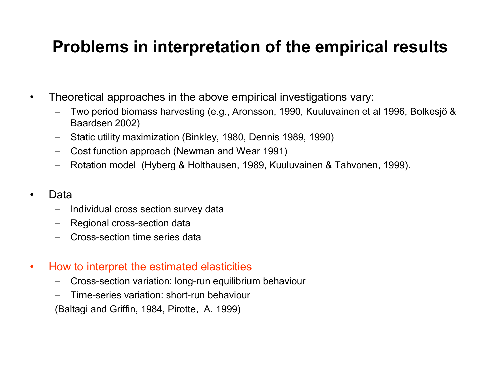### **Problems in interpretation of the empirical results**

- Theoretical approaches in the above empirical investigations vary:
	- Two period biomass harvesting (e.g., Aronsson, 1990, Kuuluvainen et al 1996, Bolkesjö & Baardsen 2002)
	- Static utility maximization (Binkley, 1980, Dennis 1989, 1990)
	- Cost function approach (Newman and Wear 1991)
	- Rotation model (Hyberg & Holthausen, 1989, Kuuluvainen & Tahvonen, 1999).
- Data
	- Individual cross section survey data
	- Regional cross-section data
	- Cross-section time series data
- How to interpret the estimated elasticities
	- Cross-section variation: long-run equilibrium behaviour
	- $-$  Time-series variation: short-run behaviour

(Baltagi and Griffin, 1984, Pirotte, A. 1999)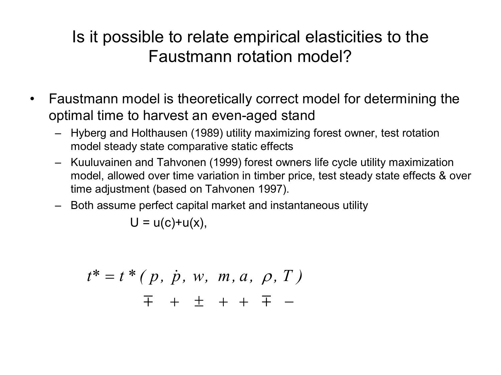### Is it possible to relate empirical elasticities to the Faustmann rotation model?

- Faustmann model is theoretically correct model for determining the optimal time to harvest an even-aged stand
	- Hyberg and Holthausen (1989) utility maximizing forest owner, test rotation model steady state comparative static effects
	- Kuuluvainen and Tahvonen (1999) forest owners life cycle utility maximization model, allowed over time variation in timber price, test steady state effects & over time adjustment (based on Tahvonen 1997).
	- Both assume perfect capital market and instantaneous utility

 $U = u(c)+u(x)$ ,

$$
t^* = t^* (p, \dot{p}, w, m, a, \rho, T)
$$
  
 $\overline{+} + \overline{+} + \overline{+} -$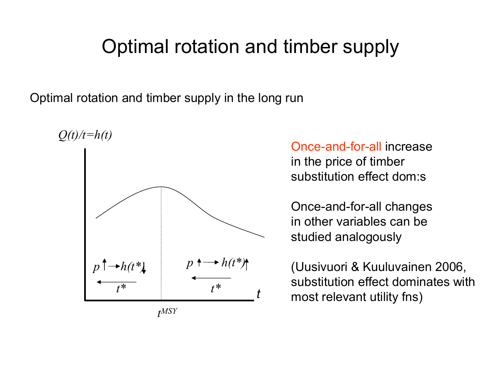## Optimal rotation and timber supply

Optimal rotation and timber supply in the long run



Once-and-for-all increase in the price of timber substitution effect dom:s

Once-and-for-all changes in other variables can be studied analogously

(Uusivuori & Kuuluvainen 2006, substitution effect dominates with most relevant utility fns)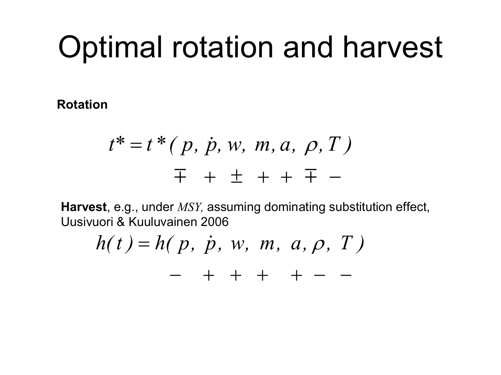# Optimal rotation and harvest

**Rotation** 

$$
t^* = t^* (p, \dot{p}, w, m, a, \rho, T)
$$
  
 $\overline{+} + \overline{+} + \overline{+} -$ 

**Harvest**, e.g., under *MSY,* assuming dominating substitution effect, Uusivuori & Kuuluvainen 2006

$$
h(t) = h(p, \dot{p}, w, m, a, \rho, T) - + + + + - -
$$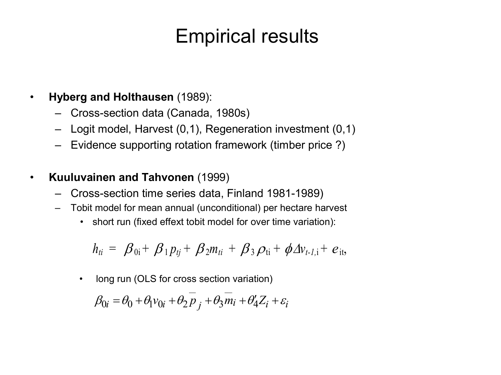## Empirical results

- **Hyberg and Holthausen** (1989):
	- Crosssection data (Canada, 1980s)
	- Logit model, Harvest (0,1), Regeneration investment (0,1)
	- Evidence supporting rotation framework (timber price ?)
- **Kuuluvainen and Tahvonen** (1999)
	- Cross-section time series data, Finland 1981-1989)
	- Tobit model for mean annual (unconditional) per hectare harvest
		- short run (fixed effext tobit model for over time variation):

$$
h_{ti} = \beta_{0i} + \beta_1 p_{tj} + \beta_2 m_{ti} + \beta_3 \rho_{ti} + \phi \Delta v_{t-l,i} + e_{it},
$$

• long run (OLS for cross section variation)  $\beta_{0i} = \theta_0 + \theta_1 v_{0i} + \theta_2 \overline{p}_i + \theta_3 \overline{m}_i + \theta'_4 Z_i + \varepsilon_i$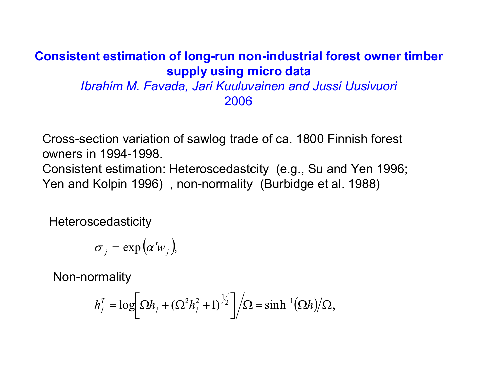#### **Consistent estimation of long-run non-industrial forest owner timber supply using micro data**

*Ibrahim M. Favada, Jari Kuuluvainen and Jussi Uusivuori* 2006

Crosssection variation of sawlog trade of ca. 1800 Finnish forest owners in 1994-1998. Consistent estimation: Heteroscedastcity (e.g., Su and Yen 1996; Yen and Kolpin 1996), non-normality (Burbidge et al. 1988)

**Heteroscedasticity** 

$$
\sigma_{j} = \exp (\alpha' w_{j}),
$$

Non-normality

$$
h_j^T = \log \left[ \Omega h_j + (\Omega^2 h_j^2 + 1)^{\frac{1}{2}} \right] / \Omega = \sinh^{-1}(\Omega h) / \Omega,
$$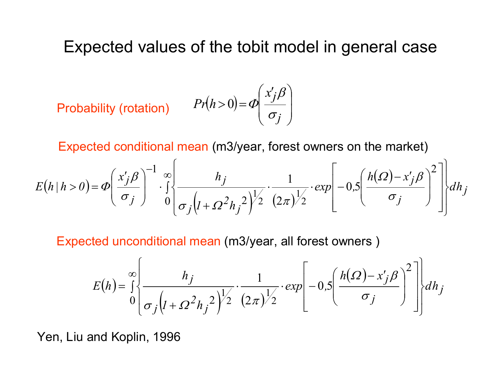Expected values of the tobit model in general case

Probability (rotation) 
$$
Pr(h>0) = \Phi\left(\frac{x'_j \beta}{\sigma_j}\right)
$$

Expected conditional mean (m3/year, forest owners on the market)

$$
E(h|h>0) = \Phi\left(\frac{x'_j\beta}{\sigma_j}\right)^{-1} \cdot \int_0^\infty \frac{h_j}{\sigma_j\left(l+\Omega^2h_j^2\right)^{1/2}} \cdot \frac{1}{(2\pi)^{1/2}} \cdot \exp\left[-0.5\left(\frac{h(\Omega)-x'_j\beta}{\sigma_j}\right)^2\right] \cdot \left[\frac{dh_j}{\sigma_j}\right]
$$

Expected unconditional mean (m3/year, all forest owners )

$$
E(h) = \int_{0}^{\infty} \left\{ \frac{h_j}{\sigma_j \left( 1 + \Omega^2 h_j^2 \right)^{1/2}} \cdot \frac{1}{(2\pi)^{1/2}} \cdot \exp\left[ -0.5 \left( \frac{h(\Omega) - x'_j \beta}{\sigma_j} \right)^2 \right] \right\} dh_j
$$

Yen, Liu and Koplin, 1996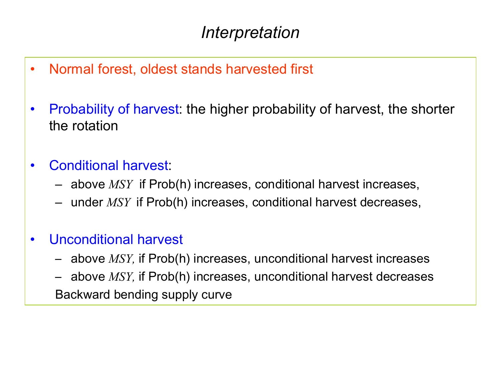- Normal forest, oldest stands harvested first
- Probability of harvest: the higher probability of harvest, the shorter the rotation
- Conditional harvest:
	- above *MSY* if Prob(h) increases, conditional harvest increases,
	- under *MSY* if Prob(h) increases, conditional harvest decreases,
- Unconditional harvest
	- above *MSY,* if Prob(h) increases, unconditional harvest increases
	- above *MSY,* if Prob(h) increases, unconditional harvest decreases Backward bending supply curve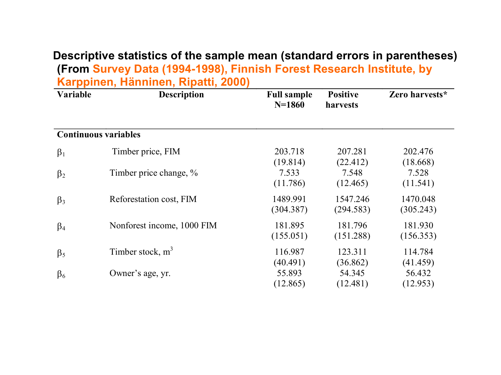#### **Descriptive statistics of the sample mean (standard errors in parentheses) (From Survey Data (1994-1998), Finnish Forest Research Institute, by Karppinen, Hänninen, Ripatti, 2000)**

| Variable                    | <b>Description</b>         | <b>Full sample</b><br>$N = 1860$ | <b>Positive</b><br>harvests    | Zero harvests*                 |
|-----------------------------|----------------------------|----------------------------------|--------------------------------|--------------------------------|
| <b>Continuous variables</b> |                            |                                  |                                |                                |
| $\beta_1$                   | Timber price, FIM          | 203.718<br>(19.814)              | 207.281<br>(22.412)            | 202.476<br>(18.668)            |
| $\beta_2$                   | Timber price change, %     | 7.533<br>(11.786)                | 7.548<br>(12.465)              | 7.528<br>(11.541)              |
| $\beta_3$                   | Reforestation cost, FIM    | 1489.991<br>(304.387)            | 1547.246<br>(294.583)          | 1470.048<br>(305.243)          |
| $\beta_4$                   | Nonforest income, 1000 FIM | 181.895<br>(155.051)             | 181.796<br>(151.288)           | 181.930<br>(156.353)           |
| $\beta_5$                   | Timber stock, $m3$         | 116.987                          | 123.311                        | 114.784                        |
| $\beta_6$                   | Owner's age, yr.           | (40.491)<br>55.893<br>(12.865)   | (36.862)<br>54.345<br>(12.481) | (41.459)<br>56.432<br>(12.953) |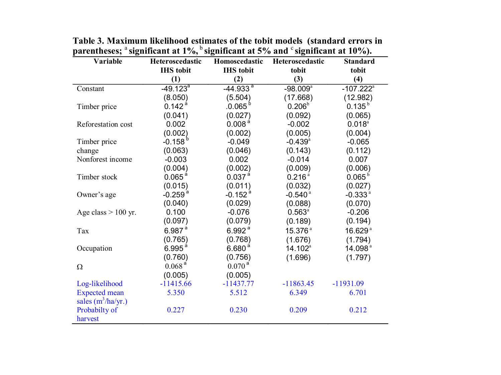| Variable              | Heteroscedastic       | Homoscedastic<br>Heteroscedastic |                        | <b>Standard</b>         |
|-----------------------|-----------------------|----------------------------------|------------------------|-------------------------|
|                       | <b>IHS</b> tobit      | <b>IHS</b> tobit                 | tobit                  | tobit                   |
|                       | (1)                   | (2)                              | (3)                    | (4)                     |
| Constant              | $-49.123^{a}$         | $-44.933$ <sup>a</sup>           | $-98.009$ <sup>a</sup> | $-107.222$ <sup>a</sup> |
|                       | (8.050)               | (5.504)                          | (17.668)               | (12.982)                |
| Timber price          | $0.142$ <sup>a</sup>  | $.0.065^{b}$                     | 0.206 <sup>b</sup>     | $0.135^{b}$             |
|                       | (0.041)               | (0.027)                          | (0.092)                | (0.065)                 |
| Reforestation cost    | 0.002                 | 0.008 <sup>a</sup>               | $-0.002$               | $0.018^{a}$             |
|                       | (0.002)               | (0.002)                          | (0.005)                | (0.004)                 |
| Timber price          | $-0.158^{b}$          | $-0.049$                         | $-0.439$ <sup>a</sup>  | $-0.065$                |
| change                | (0.063)               | (0.046)                          | (0.143)                | (0.112)                 |
| Nonforest income      | $-0.003$              | 0.002                            | $-0.014$               | 0.007                   |
|                       | (0.004)               | (0.002)                          | (0.009)                | (0.006)                 |
| Timber stock          | 0.065 <sup>a</sup>    | 0.037 <sup>a</sup>               | 0.216 <sup>a</sup>     | $0.065^{\rm b}$         |
|                       | (0.015)               | (0.011)                          | (0.032)                | (0.027)                 |
| Owner's age           | $-0.259$ <sup>a</sup> | $-0.152$ <sup>a</sup>            | $-0.540$ <sup>a</sup>  | $-0.333a$               |
|                       | (0.040)               | (0.029)                          | (0.088)                | (0.070)                 |
| Age class $> 100$ yr. | 0.100                 | $-0.076$                         | $0.563^{\circ}$        | $-0.206$                |
|                       | (0.097)               | (0.079)                          | (0.189)                | (0.194)                 |
| Tax                   | $6.987$ <sup>a</sup>  | 6.992 <sup>a</sup>               | 15.376 <sup>a</sup>    | 16.629 <sup>a</sup>     |
|                       | (0.765)               | (0.768)                          | (1.676)                | (1.794)                 |
| Occupation            | 6.995 <sup>a</sup>    | 6.680 <sup>a</sup>               | 14.102 <sup>a</sup>    | 14.098 <sup>ª</sup>     |
|                       | (0.760)               | (0.756)                          | (1.696)                | (1.797)                 |
| Ω                     | 0.068 <sup>a</sup>    | $0.070$ <sup>a</sup>             |                        |                         |
|                       | (0.005)               | (0.005)                          |                        |                         |
| Log-likelihood        | $-11415.66$           | $-11437.77$                      | $-11863.45$            | $-11931.09$             |
| <b>Expected</b> mean  | 5.350                 | 5.512                            | 6.349                  | 6.701                   |
| sales $(m^3/ha/yr.)$  |                       |                                  |                        |                         |
| Probabilty of         | 0.227                 | 0.230                            | 0.209                  | 0.212                   |
| harvest               |                       |                                  |                        |                         |

**Table 3. Maximum likelihood estimates of the tobit models (standard errors in parentheses;** <sup>a</sup> **significant at 1%,** <sup>b</sup> **significant at 5% and** <sup>c</sup> **significant at 10%).**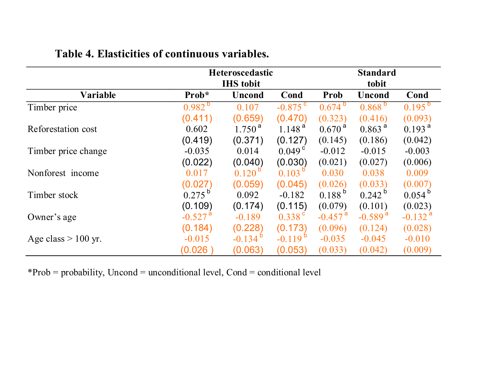|                       |                       | Heteroscedastic    |                       |                       | <b>Standard</b>       |                       |
|-----------------------|-----------------------|--------------------|-----------------------|-----------------------|-----------------------|-----------------------|
|                       |                       | <b>IHS</b> tobit   |                       |                       | tobit                 |                       |
| Variable              | Prob*                 | <b>Uncond</b>      | Cond                  | <b>Prob</b>           | Uncond                | Cond                  |
| Timber price          | $0.982^{b}$           | 0.107              | $-0.875$ <sup>c</sup> | $0.674^{b}$           | $0.868^{b}$           | $0.195^{b}$           |
|                       | (0.411)               | (0.659)            | (0.470)               | (0.323)               | (0.416)               | (0.093)               |
| Reforestation cost    | 0.602                 | $1.750^{\text{a}}$ | 1.148 <sup>a</sup>    | $0.670^{\text{ a}}$   | $0.863$ <sup>a</sup>  | 0.193 <sup>a</sup>    |
|                       | (0.419)               | (0.371)            | (0.127)               | (0.145)               | (0.186)               | (0.042)               |
| Timber price change   | $-0.035$              | 0.014              | $0.049^{\circ}$       | $-0.012$              | $-0.015$              | $-0.003$              |
|                       | (0.022)               | (0.040)            | (0.030)               | (0.021)               | (0.027)               | (0.006)               |
| Nonforest income      | 0.017                 | $0.120^{p}$        | $0.103^{D}$           | 0.030                 | 0.038                 | 0.009                 |
|                       | (0.027)               | (0.059)            | (0.045)               | (0.026)               | (0.033)               | (0.007)               |
| Timber stock          | $0.275^{b}$           | 0.092              | $-0.182$              | $0.188^{b}$           | $0.242^{b}$           | $0.054^{\circ}$       |
|                       | (0.109)               | (0.174)            | (0.115)               | (0.079)               | (0.101)               | (0.023)               |
| Owner's age           | $-0.527$ <sup>a</sup> | $-0.189$           | $0.338$ <sup>c</sup>  | $-0.457$ <sup>a</sup> | $-0.589$ <sup>a</sup> | $-0.132$ <sup>a</sup> |
|                       | (0.184)               | (0.228)            | (0.173)               | (0.096)               | (0.124)               | (0.028)               |
| Age class $> 100$ yr. | $-0.015$              | $-0.134$           | $-0.119$              | $-0.035$              | $-0.045$              | $-0.010$              |
|                       | (0.026)               | (0.063)            | (0.053)               | (0.033)               | (0.042)               | (0.009)               |

#### **Table 4. Elasticities of continuous variables.**

\*Prob = probability, Uncond = unconditional level, Cond = conditional level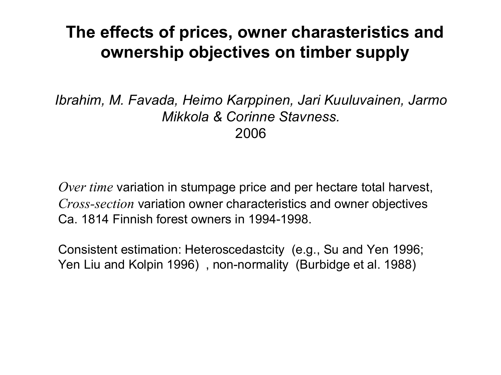### **The effects of prices, owner charasteristics and ownership objectives on timber supply**

*Ibrahim, M. Favada, Heimo Karppinen, Jari Kuuluvainen, Jarmo Mikkola & Corinne Stavness.* 2006

*Over time* variation in stumpage price and per hectare total harvest, *Crosssection* variation owner characteristics and owner objectives Ca. 1814 Finnish forest owners in 1994-1998.

Consistent estimation: Heteroscedastcity (e.g., Su and Yen 1996; Yen Liu and Kolpin 1996), non-normality (Burbidge et al. 1988)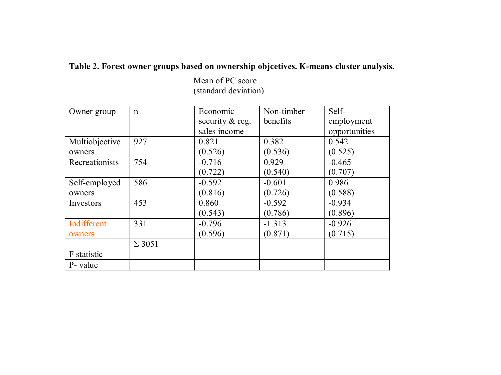#### Table 2. Forest owner groups based on ownership objcetives. K-means cluster analysis.

Mean of PC score (standard deviation)

| Owner group    | $\mathsf{n}$  | Economic                 | Non-timber | Self-         |
|----------------|---------------|--------------------------|------------|---------------|
|                |               | security $& \text{reg.}$ | benefits   | employment    |
|                |               | sales income             |            | opportunities |
| Multiobjective | 927           | 0.821                    | 0.382      | 0.542         |
| owners         |               | (0.526)                  | (0.536)    | (0.525)       |
| Recreationists | 754           | $-0.716$                 | 0.929      | $-0.465$      |
|                |               | (0.722)                  | (0.540)    | (0.707)       |
| Self-employed  | 586           | $-0.592$                 | $-0.601$   | 0.986         |
| owners         |               | (0.816)                  | (0.726)    | (0.588)       |
| Investors      | 453           | 0.860                    | $-0.592$   | $-0.934$      |
|                |               | (0.543)                  | (0.786)    | (0.896)       |
| Indifferent    | 331           | $-0.796$                 | $-1.313$   | $-0.926$      |
| owners         |               | (0.596)                  | (0.871)    | (0.715)       |
|                | $\Sigma$ 3051 |                          |            |               |
| F statistic    |               |                          |            |               |
| P- value       |               |                          |            |               |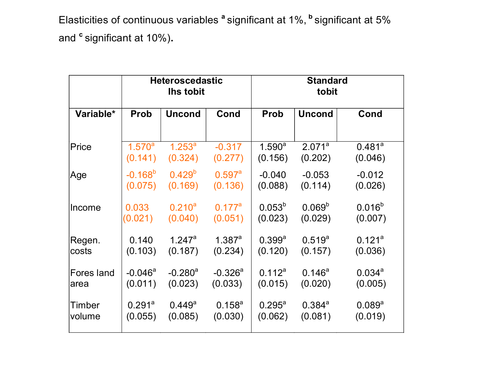Elasticities of continuous variables **<sup>a</sup>** significant at 1%, **<sup>b</sup>** significant at 5% and **<sup>c</sup>** significant at 10%)**.**

|            | <b>Heteroscedastic</b><br><b>Ihs tobit</b> |                       | <b>Standard</b><br>tobit |                      |                    |             |
|------------|--------------------------------------------|-----------------------|--------------------------|----------------------|--------------------|-------------|
| Variable*  | <b>Prob</b>                                | <b>Uncond</b>         | Cond                     | <b>Prob</b>          | <b>Uncond</b>      | Cond        |
| Price      | $1.570^{a}$                                | $1.253^{a}$           | $-0.317$                 | $1.590^a$            | 2.071 <sup>a</sup> | $0.481^{a}$ |
|            | (0.141)                                    | (0.324)               | (0.277)                  | (0.156)              | (0.202)            | (0.046)     |
| Age        | $-0.168^{b}$                               | $0.429^{b}$           | $0.597$ <sup>a</sup>     | $-0.040$             | $-0.053$           | $-0.012$    |
|            | (0.075)                                    | (0.169)               | (0.136)                  | (0.088)              | (0.114)            | (0.026)     |
| Income     | 0.033                                      | $0.210^{a}$           | $0.177^a$                | $0.053^{b}$          | 0.069 <sup>b</sup> | $0.016^{b}$ |
|            | (0.021)                                    | (0.040)               | (0.051)                  | (0.023)              | (0.029)            | (0.007)     |
| Regen.     | 0.140                                      | $1.247$ <sup>a</sup>  | 1.387a                   | $0.399$ <sup>a</sup> | $0.519^{a}$        | $0.121^{a}$ |
| costs      | (0.103)                                    | (0.187)               | (0.234)                  | (0.120)              | (0.157)            | (0.036)     |
| Fores land | $-0.046^a$                                 | $-0.280$ <sup>a</sup> | $-0.326$ <sup>a</sup>    | $0.112^a$            | $0.146^a$          | $0.034^{a}$ |
| area       | (0.011)                                    | (0.023)               | (0.033)                  | (0.015)              | (0.020)            | (0.005)     |
| Timber     | $0.291$ <sup>a</sup>                       | $0.449^{\rm a}$       | $0.158^{a}$              | $0.295^{\text{a}}$   | $0.384^{a}$        | $0.089^{a}$ |
| volume     | (0.055)                                    | (0.085)               | (0.030)                  | (0.062)              | (0.081)            | (0.019)     |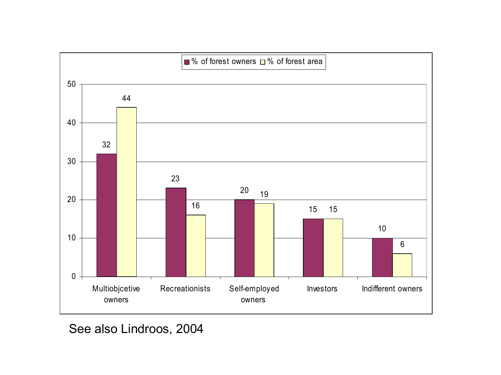

See also Lindroos, 2004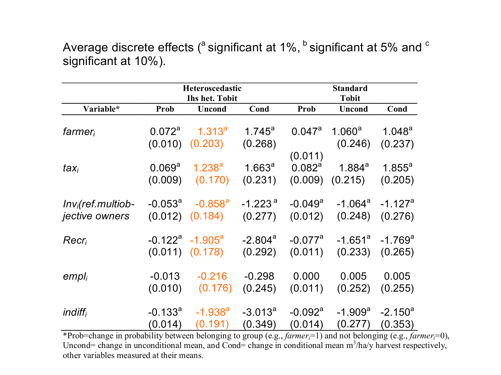Average discrete effects ( $a$  significant at 1%,  $b$  significant at 5% and  $c$ significant at 10%).

|                     |                    | Heteroscedastic<br>Ihs het. Tobit |                       |                       | <b>Standard</b><br><b>Tobit</b> |                       |  |
|---------------------|--------------------|-----------------------------------|-----------------------|-----------------------|---------------------------------|-----------------------|--|
| Variable*           | Prob               | <b>Uncond</b>                     | Cond                  | Prob                  | <b>Uncond</b>                   | Cond                  |  |
| $f \text{armer}_i$  | 0.072 <sup>a</sup> | $1.313^{a}$                       | $1.745^a$             | 0.047a                | $1.060^a$                       | $1.048^a$             |  |
|                     | (0.010)            | (0.203)                           | (0.268)               | (0.011)               | (0.246)                         | (0.237)               |  |
| $\mathit{tax}_i$    | 0.069 <sup>a</sup> | $1.238^{a}$                       | 1.663 <sup>a</sup>    | $0.082^a$             | $1.884^{a}$                     | $1.855^a$             |  |
|                     | (0.009)            | (0.170)                           | (0.231)               | (0.009)               | (0.215)                         | (0.205)               |  |
| $Invi(ref.multiob-$ | $-0.053^{\circ}$   | $-0.858$ <sup>a</sup>             | $-1.223$ <sup>a</sup> | $-0.049$ <sup>a</sup> | $-1.064^a$                      | $-1.127$ <sup>a</sup> |  |
| jective owners      |                    | $(0.012)$ $(0.184)$               | (0.277)               | (0.012)               | (0.248)                         | (0.276)               |  |
| $Recr_i$            |                    | $-0.122^a$ $-1.905^a$             | $-2.804$ <sup>a</sup> | $-0.077$ <sup>a</sup> | -1.651 $^{\circ}$               | $-1.769$ <sup>a</sup> |  |
|                     |                    | $(0.011)$ $(0.178)$               | (0.292)               | (0.011)               | (0.233)                         | (0.265)               |  |
| empl <sub>i</sub>   | $-0.013$           | $-0.216$                          | $-0.298$              | 0.000                 | 0.005                           | 0.005                 |  |
|                     | (0.010)            | (0.176)                           | (0.245)               | (0.011)               | (0.252)                         | (0.255)               |  |
| indiff <sub>i</sub> | $-0.133^a$         | $-1.938^{a}$                      | $-3.013^a$            | $-0.092$ <sup>a</sup> | $-1.909^a$                      | $-2.150^a$            |  |
|                     | (0.014)            | (0.191)                           | (0.349)               | (0.014)               | (0.277)                         | (0.353)               |  |

\*Prob=change in probability between belonging to group (e.g., *farmeri*=1) and not belonging (e.g., *farmeri*=0), Uncond= change in unconditional mean, and Cond= change in conditional mean  $m^3/ha/y$  harvest respectively, other variables measured at their means.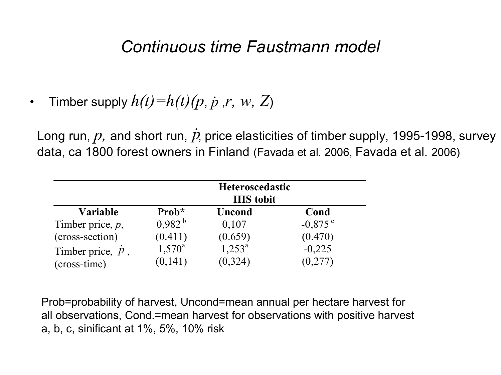#### *Continuous time Faustmann model*

• Timber supply  $h(t)=h(t)(p, p, r, w, Z)$ 

Long run,  $p$ , and short run,  $\dot{p}$ , price elasticities of timber supply, 1995-1998, survey data, ca 1800 forest owners in Finland (Favada et al. 2006, Favada et al. 2006)

|                           |                 | <b>Heteroscedastic</b><br><b>IHS</b> tobit |            |
|---------------------------|-----------------|--------------------------------------------|------------|
| <b>Variable</b>           | Prob*           | <b>Uncond</b>                              | Cond       |
| Timber price, $p$ ,       | $0.982^{b}$     | 0,107                                      | $-0.875$ ° |
| (cross-section)           | (0.411)         | (0.659)                                    | (0.470)    |
| Timber price, $\dot{p}$ , | $1,570^{\rm a}$ | $1,253^a$                                  | $-0,225$   |
| (cross-time)              | (0,141)         | (0, 324)                                   | (0,277)    |

Prob=probability of harvest, Uncond=mean annual per hectare harvest for all observations, Cond.=mean harvest for observations with positive harvest a, b, c, sinificant at 1%, 5%, 10% risk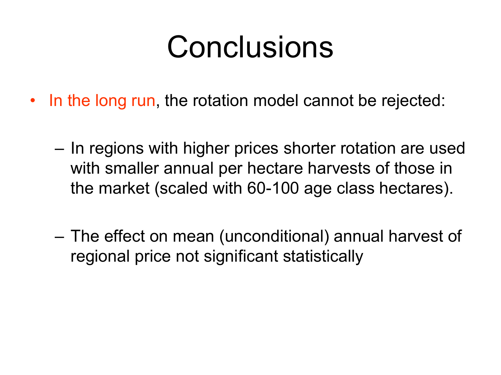# Conclusions

- In the long run, the rotation model cannot be rejected:
	- In regions with higher prices shorter rotation are used with smaller annual per hectare harvests of those in the market (scaled with 60-100 age class hectares).
	- The effect on mean (unconditional) annual harvest of regional price not significant statistically